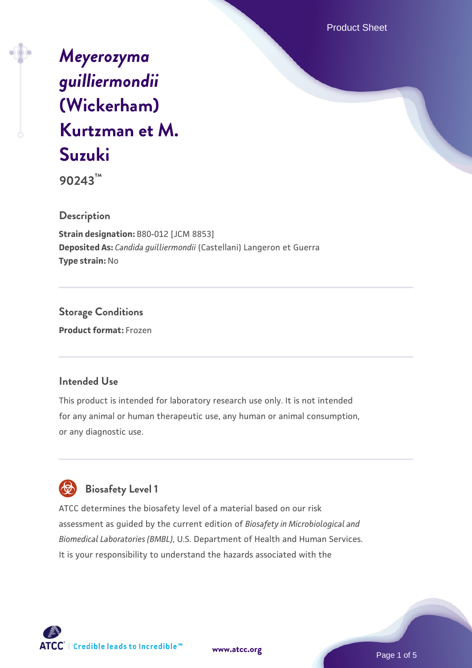Product Sheet

# *[Meyerozyma](https://www.atcc.org/products/90243) [guilliermondii](https://www.atcc.org/products/90243)* **[\(Wickerham\)](https://www.atcc.org/products/90243) [Kurtzman et M.](https://www.atcc.org/products/90243) [Suzuki](https://www.atcc.org/products/90243)**

**90243™**

**Description**

**Strain designation:** B80-012 [JCM 8853] **Deposited As:** *Candida guilliermondii* (Castellani) Langeron et Guerra **Type strain:** No

**Storage Conditions Product format:** Frozen

## **Intended Use**

This product is intended for laboratory research use only. It is not intended for any animal or human therapeutic use, any human or animal consumption, or any diagnostic use.



ATCC determines the biosafety level of a material based on our risk assessment as guided by the current edition of *Biosafety in Microbiological and Biomedical Laboratories (BMBL)*, U.S. Department of Health and Human Services. It is your responsibility to understand the hazards associated with the



**[www.atcc.org](http://www.atcc.org)**

Page 1 of 5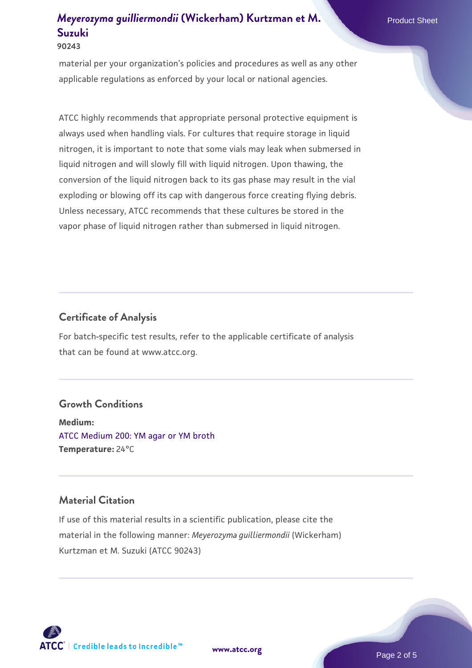# *Meyerozyma quilliermondii* [\(Wickerham\) Kurtzman et M.](https://www.atcc.org/products/90243) Product Sheet **[Suzuki](https://www.atcc.org/products/90243)**

#### **90243**

material per your organization's policies and procedures as well as any other applicable regulations as enforced by your local or national agencies.

ATCC highly recommends that appropriate personal protective equipment is always used when handling vials. For cultures that require storage in liquid nitrogen, it is important to note that some vials may leak when submersed in liquid nitrogen and will slowly fill with liquid nitrogen. Upon thawing, the conversion of the liquid nitrogen back to its gas phase may result in the vial exploding or blowing off its cap with dangerous force creating flying debris. Unless necessary, ATCC recommends that these cultures be stored in the vapor phase of liquid nitrogen rather than submersed in liquid nitrogen.

#### **Certificate of Analysis**

For batch-specific test results, refer to the applicable certificate of analysis that can be found at www.atcc.org.

#### **Growth Conditions**

**Medium:**  [ATCC Medium 200: YM agar or YM broth](https://www.atcc.org/-/media/product-assets/documents/microbial-media-formulations/2/0/0/atcc-medium-200.pdf?rev=ac40fd74dc13433a809367b0b9da30fc) **Temperature:** 24°C

#### **Material Citation**

If use of this material results in a scientific publication, please cite the material in the following manner: *Meyerozyma guilliermondii* (Wickerham) Kurtzman et M. Suzuki (ATCC 90243)

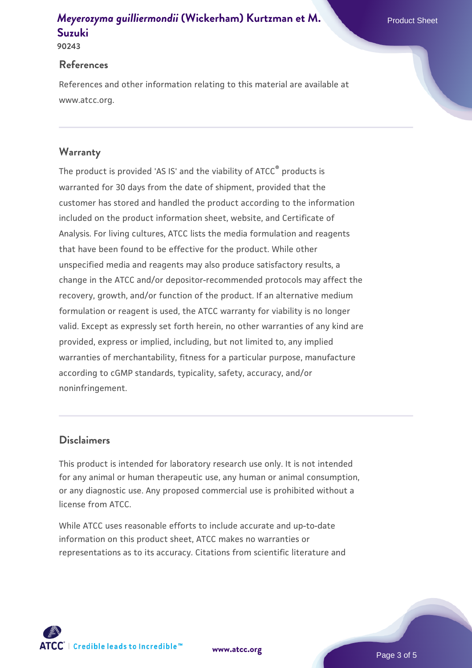## *Meyerozyma quilliermondii* [\(Wickerham\) Kurtzman et M.](https://www.atcc.org/products/90243) Product Sheet **[Suzuki](https://www.atcc.org/products/90243)**

#### **90243**

#### **References**

References and other information relating to this material are available at www.atcc.org.

#### **Warranty**

The product is provided 'AS IS' and the viability of ATCC® products is warranted for 30 days from the date of shipment, provided that the customer has stored and handled the product according to the information included on the product information sheet, website, and Certificate of Analysis. For living cultures, ATCC lists the media formulation and reagents that have been found to be effective for the product. While other unspecified media and reagents may also produce satisfactory results, a change in the ATCC and/or depositor-recommended protocols may affect the recovery, growth, and/or function of the product. If an alternative medium formulation or reagent is used, the ATCC warranty for viability is no longer valid. Except as expressly set forth herein, no other warranties of any kind are provided, express or implied, including, but not limited to, any implied warranties of merchantability, fitness for a particular purpose, manufacture according to cGMP standards, typicality, safety, accuracy, and/or noninfringement.

#### **Disclaimers**

This product is intended for laboratory research use only. It is not intended for any animal or human therapeutic use, any human or animal consumption, or any diagnostic use. Any proposed commercial use is prohibited without a license from ATCC.

While ATCC uses reasonable efforts to include accurate and up-to-date information on this product sheet, ATCC makes no warranties or representations as to its accuracy. Citations from scientific literature and

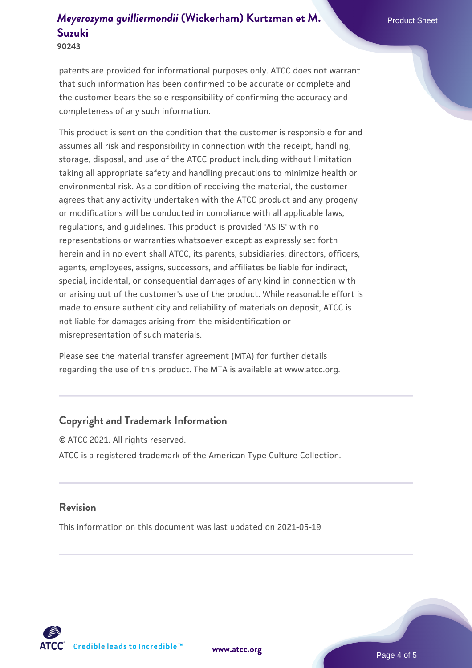## *Meyerozyma quilliermondii* [\(Wickerham\) Kurtzman et M.](https://www.atcc.org/products/90243) Product Sheet **[Suzuki](https://www.atcc.org/products/90243)**

**90243**

patents are provided for informational purposes only. ATCC does not warrant that such information has been confirmed to be accurate or complete and the customer bears the sole responsibility of confirming the accuracy and completeness of any such information.

This product is sent on the condition that the customer is responsible for and assumes all risk and responsibility in connection with the receipt, handling, storage, disposal, and use of the ATCC product including without limitation taking all appropriate safety and handling precautions to minimize health or environmental risk. As a condition of receiving the material, the customer agrees that any activity undertaken with the ATCC product and any progeny or modifications will be conducted in compliance with all applicable laws, regulations, and guidelines. This product is provided 'AS IS' with no representations or warranties whatsoever except as expressly set forth herein and in no event shall ATCC, its parents, subsidiaries, directors, officers, agents, employees, assigns, successors, and affiliates be liable for indirect, special, incidental, or consequential damages of any kind in connection with or arising out of the customer's use of the product. While reasonable effort is made to ensure authenticity and reliability of materials on deposit, ATCC is not liable for damages arising from the misidentification or misrepresentation of such materials.

Please see the material transfer agreement (MTA) for further details regarding the use of this product. The MTA is available at www.atcc.org.

## **Copyright and Trademark Information**

© ATCC 2021. All rights reserved. ATCC is a registered trademark of the American Type Culture Collection.

#### **Revision**

This information on this document was last updated on 2021-05-19